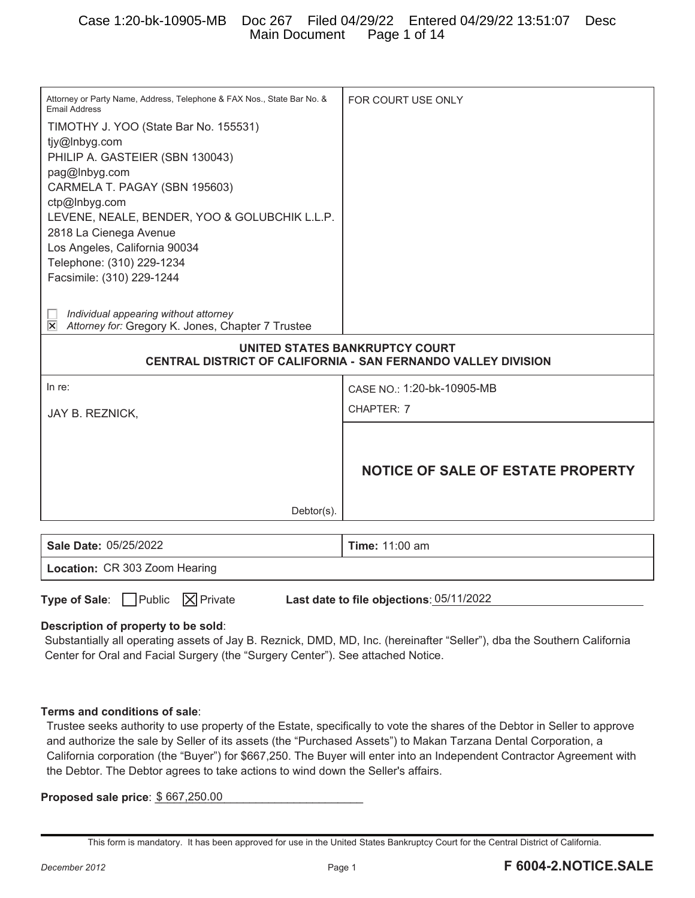| Attorney or Party Name, Address, Telephone & FAX Nos., State Bar No. &<br><b>Email Address</b>               | FOR COURT USE ONLY                       |  |
|--------------------------------------------------------------------------------------------------------------|------------------------------------------|--|
| TIMOTHY J. YOO (State Bar No. 155531)                                                                        |                                          |  |
| tjy@Inbyg.com<br>PHILIP A. GASTEIER (SBN 130043)                                                             |                                          |  |
| pag@Inbyg.com                                                                                                |                                          |  |
| CARMELA T. PAGAY (SBN 195603)<br>ctp@Inbyg.com                                                               |                                          |  |
| LEVENE, NEALE, BENDER, YOO & GOLUBCHIK L.L.P.<br>2818 La Cienega Avenue                                      |                                          |  |
| Los Angeles, California 90034                                                                                |                                          |  |
| Telephone: (310) 229-1234<br>Facsimile: (310) 229-1244                                                       |                                          |  |
|                                                                                                              |                                          |  |
| Individual appearing without attorney<br>Attorney for: Gregory K. Jones, Chapter 7 Trustee<br>$ \mathsf{x} $ |                                          |  |
| <b>UNITED STATES BANKRUPTCY COURT</b><br>CENTRAL DISTRICT OF CALIFORNIA - SAN FERNANDO VALLEY DIVISION       |                                          |  |
| In re:                                                                                                       | CASE NO.: 1:20-bk-10905-MB               |  |
| JAY B. REZNICK,                                                                                              | CHAPTER: 7                               |  |
|                                                                                                              |                                          |  |
|                                                                                                              | <b>NOTICE OF SALE OF ESTATE PROPERTY</b> |  |
|                                                                                                              |                                          |  |
| Debtor(s).                                                                                                   |                                          |  |
|                                                                                                              |                                          |  |
| Sale Date: 05/25/2022                                                                                        | <b>Time: 11:00 am</b>                    |  |
| Location: CR 303 Zoom Hearing                                                                                |                                          |  |
|                                                                                                              |                                          |  |

**Type of Sale:** Public  $\boxed{\times}$  Private

Last date to file objections: 05/11/2022

### **Description of property to be sold**:

Substantially all operating assets of Jay B. Reznick, DMD, MD, Inc. (hereinafter "Seller"), dba the Southern California Center for Oral and Facial Surgery (the "Surgery Center"). See attached Notice.

#### **Terms and conditions of sale**:

Trustee seeks authority to use property of the Estate, specifically to vote the shares of the Debtor in Seller to approve and authorize the sale by Seller of its assets (the "Purchased Assets") to Makan Tarzana Dental Corporation, a California corporation (the "Buyer") for \$667,250. The Buyer will enter into an Independent Contractor Agreement with the Debtor. The Debtor agrees to take actions to wind down the Seller's affairs.

**Proposed sale price**:  $$667,250.00$ 

This form is mandatory. It has been approved for use in the United States Bankruptcy Court for the Central District of California.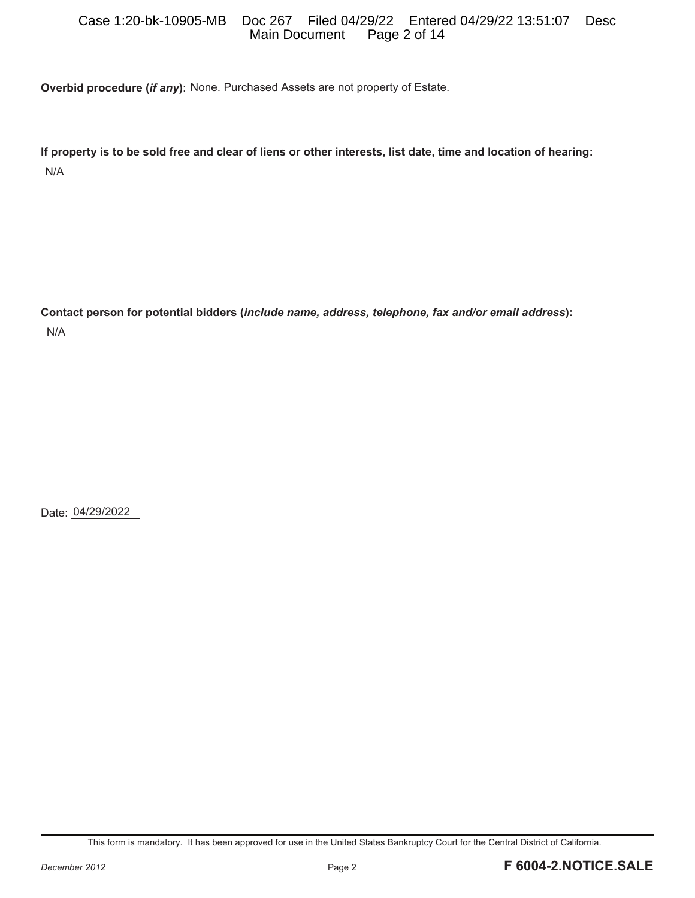### Case 1:20-bk-10905-MB Doc 267 Filed 04/29/22 Entered 04/29/22 13:51:07 Desc Main Document

**Overbid procedure (***if any***)**: None. Purchased Assets are not property of Estate.

**If property is to be sold free and clear of liens or other interests, list date, time and location of hearing:**  N/A

**Contact person for potential bidders (***include name, address, telephone, fax and/or email address***):** N/A

Date: 04/29/2022

This form is mandatory. It has been approved for use in the United States Bankruptcy Court for the Central District of California.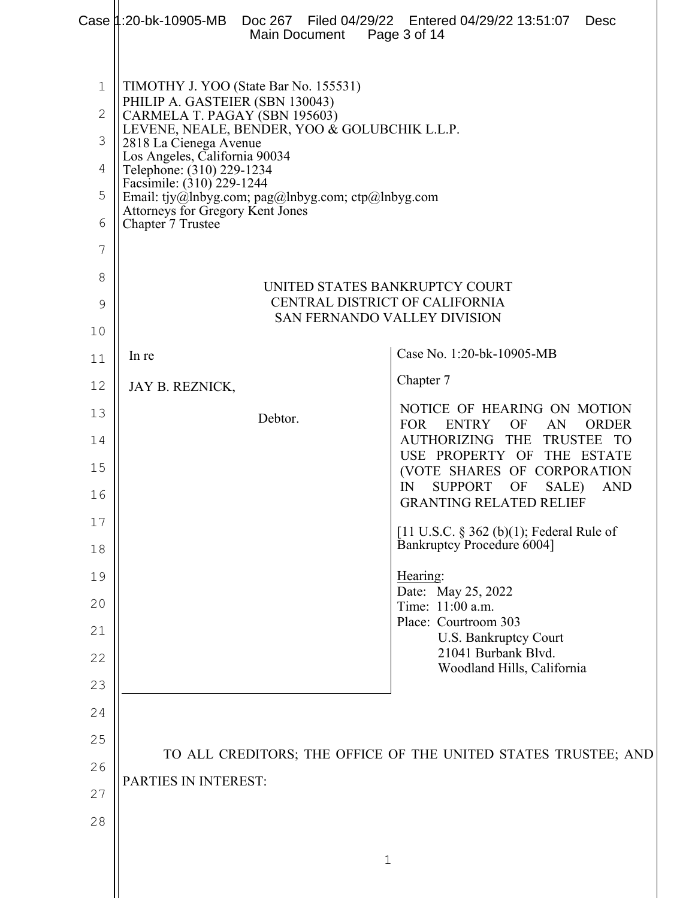|                                                                | Case [1:20-bk-10905-MB<br>Main Document Page 3 of 14                                                                                                                                                                                                                                                                                                                                                                                                                                               | Doc 267 Filed 04/29/22 Entered 04/29/22 13:51:07<br>Desc                                   |  |  |
|----------------------------------------------------------------|----------------------------------------------------------------------------------------------------------------------------------------------------------------------------------------------------------------------------------------------------------------------------------------------------------------------------------------------------------------------------------------------------------------------------------------------------------------------------------------------------|--------------------------------------------------------------------------------------------|--|--|
| $\mathbf 1$<br>$\mathbf{2}$<br>3<br>4<br>5<br>6<br>7<br>8<br>9 | TIMOTHY J. YOO (State Bar No. 155531)<br>PHILIP A. GASTEIER (SBN 130043)<br>CARMELA T. PAGAY (SBN 195603)<br>LEVENE, NEALE, BENDER, YOO & GOLUBCHIK L.L.P.<br>2818 La Cienega Avenue<br>Los Angeles, California 90034<br>Telephone: (310) 229-1234<br>Facsimile: (310) 229-1244<br>Email: tjy@lnbyg.com; pag@lnbyg.com; ctp@lnbyg.com<br>Attorneys for Gregory Kent Jones<br>Chapter 7 Trustee<br>UNITED STATES BANKRUPTCY COURT<br>CENTRAL DISTRICT OF CALIFORNIA<br>SAN FERNANDO VALLEY DIVISION |                                                                                            |  |  |
| 10                                                             |                                                                                                                                                                                                                                                                                                                                                                                                                                                                                                    |                                                                                            |  |  |
| 11                                                             | In re                                                                                                                                                                                                                                                                                                                                                                                                                                                                                              | Case No. 1:20-bk-10905-MB<br>Chapter 7                                                     |  |  |
| 12                                                             | JAY B. REZNICK,                                                                                                                                                                                                                                                                                                                                                                                                                                                                                    |                                                                                            |  |  |
| 13                                                             | Debtor.                                                                                                                                                                                                                                                                                                                                                                                                                                                                                            | NOTICE OF HEARING ON MOTION<br><b>FOR</b><br><b>ENTRY</b><br>OF<br><b>ORDER</b><br>AN      |  |  |
| 14                                                             |                                                                                                                                                                                                                                                                                                                                                                                                                                                                                                    | AUTHORIZING THE<br>TRUSTEE TO<br>USE PROPERTY OF THE ESTATE                                |  |  |
| 15<br>16                                                       |                                                                                                                                                                                                                                                                                                                                                                                                                                                                                                    | (VOTE SHARES OF CORPORATION<br><b>SUPPORT</b><br>OF<br>SALE)<br><b>AND</b><br>$\mathbb{N}$ |  |  |
| 17                                                             |                                                                                                                                                                                                                                                                                                                                                                                                                                                                                                    | <b>GRANTING RELATED RELIEF</b>                                                             |  |  |
| 18                                                             |                                                                                                                                                                                                                                                                                                                                                                                                                                                                                                    | [11 U.S.C. § 362 (b)(1); Federal Rule of<br>Bankruptcy Procedure 6004]                     |  |  |
| 19                                                             |                                                                                                                                                                                                                                                                                                                                                                                                                                                                                                    | Hearing:                                                                                   |  |  |
| 20                                                             |                                                                                                                                                                                                                                                                                                                                                                                                                                                                                                    | Date: May 25, 2022<br>Time: 11:00 a.m.                                                     |  |  |
| 21                                                             |                                                                                                                                                                                                                                                                                                                                                                                                                                                                                                    | Place: Courtroom 303<br><b>U.S. Bankruptcy Court</b>                                       |  |  |
| 22                                                             |                                                                                                                                                                                                                                                                                                                                                                                                                                                                                                    | 21041 Burbank Blvd.<br>Woodland Hills, California                                          |  |  |
| 23                                                             |                                                                                                                                                                                                                                                                                                                                                                                                                                                                                                    |                                                                                            |  |  |
| 24                                                             |                                                                                                                                                                                                                                                                                                                                                                                                                                                                                                    |                                                                                            |  |  |
| 25                                                             |                                                                                                                                                                                                                                                                                                                                                                                                                                                                                                    | TO ALL CREDITORS; THE OFFICE OF THE UNITED STATES TRUSTEE; AND                             |  |  |
| 26                                                             | PARTIES IN INTEREST:                                                                                                                                                                                                                                                                                                                                                                                                                                                                               |                                                                                            |  |  |
| 27                                                             |                                                                                                                                                                                                                                                                                                                                                                                                                                                                                                    |                                                                                            |  |  |
| 28                                                             |                                                                                                                                                                                                                                                                                                                                                                                                                                                                                                    |                                                                                            |  |  |
|                                                                | $\mathbf 1$                                                                                                                                                                                                                                                                                                                                                                                                                                                                                        |                                                                                            |  |  |
|                                                                |                                                                                                                                                                                                                                                                                                                                                                                                                                                                                                    |                                                                                            |  |  |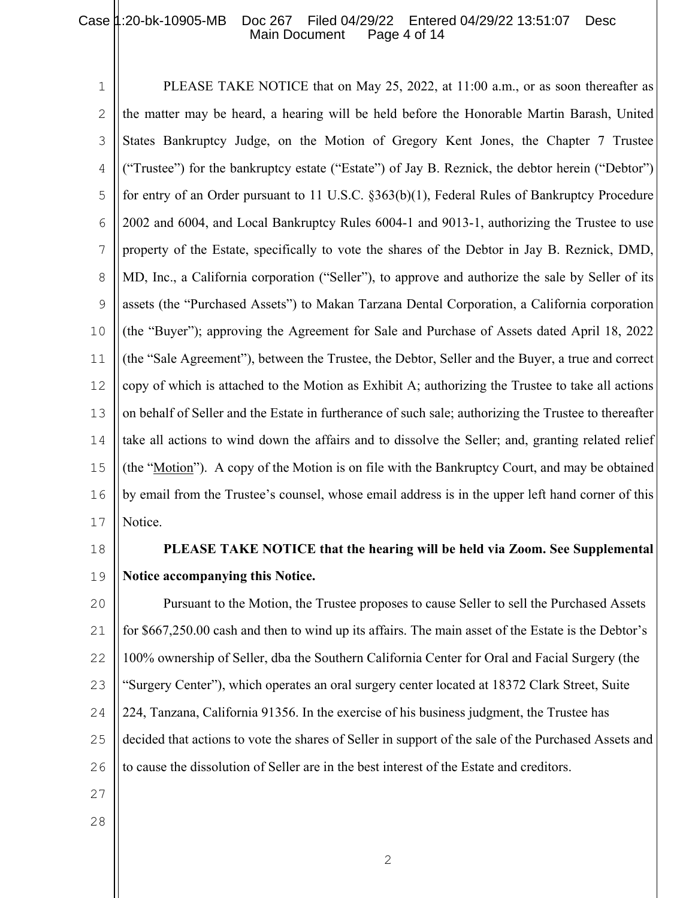### Case 1:20-bk-10905-MB Doc 267 Filed 04/29/22 Entered 04/29/22 13:51:07 Desc Main Document Page 4 of 14

1 2 3 4 5 6 7 8 9 10 11 12 13 14 15 16 17 PLEASE TAKE NOTICE that on May 25, 2022, at 11:00 a.m., or as soon thereafter as the matter may be heard, a hearing will be held before the Honorable Martin Barash, United States Bankruptcy Judge, on the Motion of Gregory Kent Jones, the Chapter 7 Trustee ("Trustee") for the bankruptcy estate ("Estate") of Jay B. Reznick, the debtor herein ("Debtor") for entry of an Order pursuant to 11 U.S.C. §363(b)(1), Federal Rules of Bankruptcy Procedure 2002 and 6004, and Local Bankruptcy Rules 6004-1 and 9013-1, authorizing the Trustee to use property of the Estate, specifically to vote the shares of the Debtor in Jay B. Reznick, DMD, MD, Inc., a California corporation ("Seller"), to approve and authorize the sale by Seller of its assets (the "Purchased Assets") to Makan Tarzana Dental Corporation, a California corporation (the "Buyer"); approving the Agreement for Sale and Purchase of Assets dated April 18, 2022 (the "Sale Agreement"), between the Trustee, the Debtor, Seller and the Buyer, a true and correct copy of which is attached to the Motion as Exhibit A; authorizing the Trustee to take all actions on behalf of Seller and the Estate in furtherance of such sale; authorizing the Trustee to thereafter take all actions to wind down the affairs and to dissolve the Seller; and, granting related relief (the "Motion"). A copy of the Motion is on file with the Bankruptcy Court, and may be obtained by email from the Trustee's counsel, whose email address is in the upper left hand corner of this Notice.

18

19

# **PLEASE TAKE NOTICE that the hearing will be held via Zoom. See Supplemental Notice accompanying this Notice.**

20 21 22 23 24 25 26 Pursuant to the Motion, the Trustee proposes to cause Seller to sell the Purchased Assets for \$667,250.00 cash and then to wind up its affairs. The main asset of the Estate is the Debtor's 100% ownership of Seller, dba the Southern California Center for Oral and Facial Surgery (the "Surgery Center"), which operates an oral surgery center located at 18372 Clark Street, Suite 224, Tanzana, California 91356. In the exercise of his business judgment, the Trustee has decided that actions to vote the shares of Seller in support of the sale of the Purchased Assets and to cause the dissolution of Seller are in the best interest of the Estate and creditors.

- 27
- 28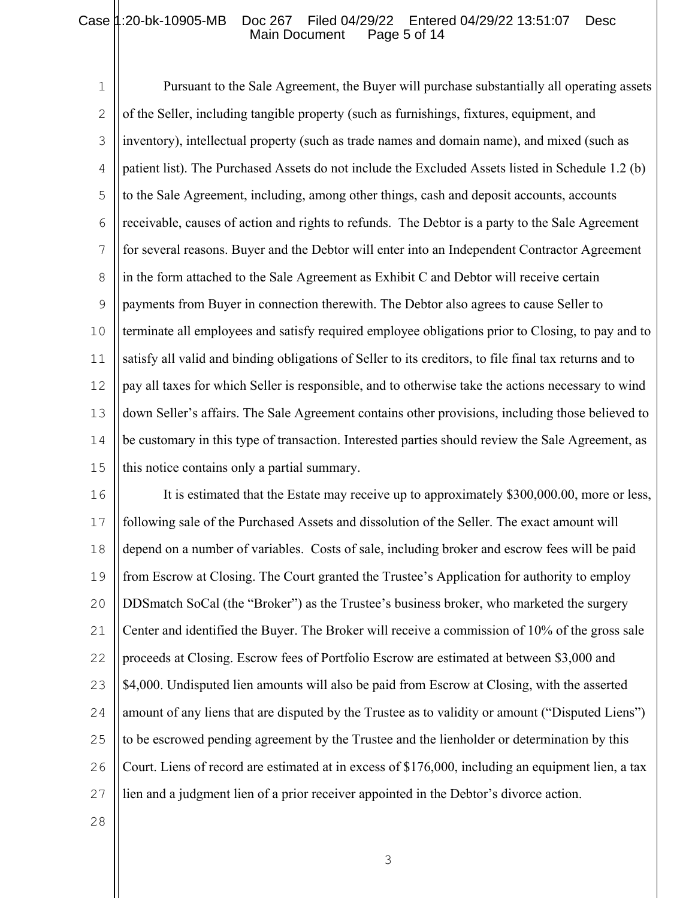### Case 1:20-bk-10905-MB Doc 267 Filed 04/29/22 Entered 04/29/22 13:51:07 Desc Main Document Page 5 of 14

1 2 3 4 5 6 7 8 9 10 11 12 13 14 15 Pursuant to the Sale Agreement, the Buyer will purchase substantially all operating assets of the Seller, including tangible property (such as furnishings, fixtures, equipment, and inventory), intellectual property (such as trade names and domain name), and mixed (such as patient list). The Purchased Assets do not include the Excluded Assets listed in Schedule 1.2 (b) to the Sale Agreement, including, among other things, cash and deposit accounts, accounts receivable, causes of action and rights to refunds. The Debtor is a party to the Sale Agreement for several reasons. Buyer and the Debtor will enter into an Independent Contractor Agreement in the form attached to the Sale Agreement as Exhibit C and Debtor will receive certain payments from Buyer in connection therewith. The Debtor also agrees to cause Seller to terminate all employees and satisfy required employee obligations prior to Closing, to pay and to satisfy all valid and binding obligations of Seller to its creditors, to file final tax returns and to pay all taxes for which Seller is responsible, and to otherwise take the actions necessary to wind down Seller's affairs. The Sale Agreement contains other provisions, including those believed to be customary in this type of transaction. Interested parties should review the Sale Agreement, as this notice contains only a partial summary.

16 17 18 19 20 21 22 23 24 25 26 27 It is estimated that the Estate may receive up to approximately \$300,000.00, more or less, following sale of the Purchased Assets and dissolution of the Seller. The exact amount will depend on a number of variables. Costs of sale, including broker and escrow fees will be paid from Escrow at Closing. The Court granted the Trustee's Application for authority to employ DDSmatch SoCal (the "Broker") as the Trustee's business broker, who marketed the surgery Center and identified the Buyer. The Broker will receive a commission of 10% of the gross sale proceeds at Closing. Escrow fees of Portfolio Escrow are estimated at between \$3,000 and \$4,000. Undisputed lien amounts will also be paid from Escrow at Closing, with the asserted amount of any liens that are disputed by the Trustee as to validity or amount ("Disputed Liens") to be escrowed pending agreement by the Trustee and the lienholder or determination by this Court. Liens of record are estimated at in excess of \$176,000, including an equipment lien, a tax lien and a judgment lien of a prior receiver appointed in the Debtor's divorce action.

28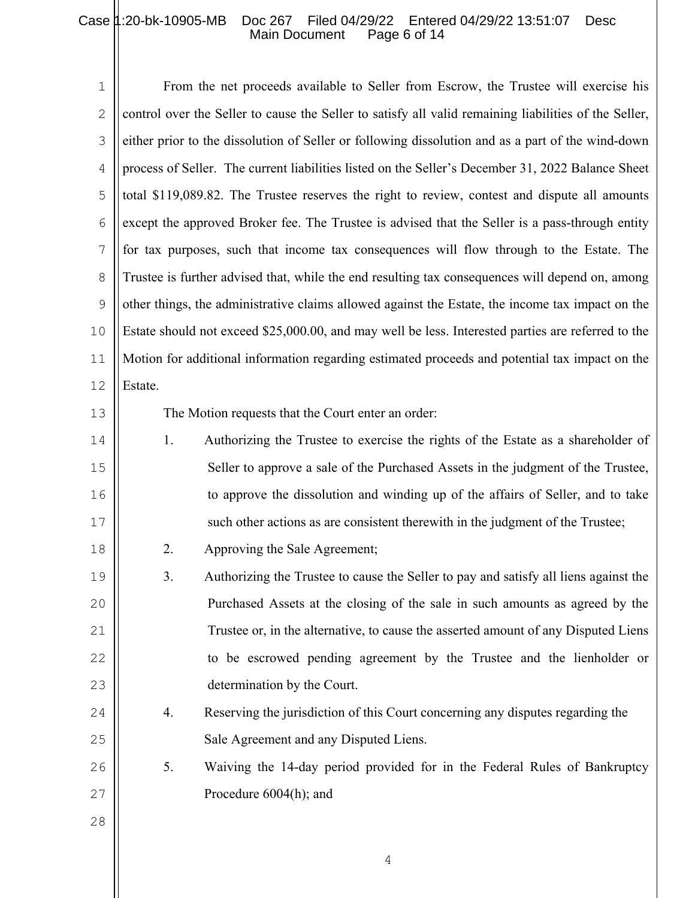## Case 1:20-bk-10905-MB Doc 267 Filed 04/29/22 Entered 04/29/22 13:51:07 Desc Main Document Page 6 of 14

| $1\,$          | From the net proceeds available to Seller from Escrow, the Trustee will exercise his                  |  |  |  |
|----------------|-------------------------------------------------------------------------------------------------------|--|--|--|
| $\mathbf{2}$   | control over the Seller to cause the Seller to satisfy all valid remaining liabilities of the Seller, |  |  |  |
| 3              | either prior to the dissolution of Seller or following dissolution and as a part of the wind-down     |  |  |  |
| $\overline{4}$ | process of Seller. The current liabilities listed on the Seller's December 31, 2022 Balance Sheet     |  |  |  |
| 5              | total \$119,089.82. The Trustee reserves the right to review, contest and dispute all amounts         |  |  |  |
| 6              | except the approved Broker fee. The Trustee is advised that the Seller is a pass-through entity       |  |  |  |
| $\overline{7}$ | for tax purposes, such that income tax consequences will flow through to the Estate. The              |  |  |  |
| $8\,$          | Trustee is further advised that, while the end resulting tax consequences will depend on, among       |  |  |  |
| $\mathsf 9$    | other things, the administrative claims allowed against the Estate, the income tax impact on the      |  |  |  |
| 10             | Estate should not exceed \$25,000.00, and may well be less. Interested parties are referred to the    |  |  |  |
| 11             | Motion for additional information regarding estimated proceeds and potential tax impact on the        |  |  |  |
| 12             | Estate.                                                                                               |  |  |  |
| 13             | The Motion requests that the Court enter an order:                                                    |  |  |  |
| 14             | Authorizing the Trustee to exercise the rights of the Estate as a shareholder of<br>1.                |  |  |  |
| 15             | Seller to approve a sale of the Purchased Assets in the judgment of the Trustee,                      |  |  |  |
| 16             | to approve the dissolution and winding up of the affairs of Seller, and to take                       |  |  |  |
| 17             | such other actions as are consistent therewith in the judgment of the Trustee;                        |  |  |  |
| 18             | 2.<br>Approving the Sale Agreement;                                                                   |  |  |  |
| 19             | Authorizing the Trustee to cause the Seller to pay and satisfy all liens against the<br>3.            |  |  |  |
| 20             | Purchased Assets at the closing of the sale in such amounts as agreed by the                          |  |  |  |
| 21             | Trustee or, in the alternative, to cause the asserted amount of any Disputed Liens                    |  |  |  |
| 22             | to be escrowed pending agreement by the Trustee and the lienholder or                                 |  |  |  |
| 23             | determination by the Court.                                                                           |  |  |  |
| 24             | Reserving the jurisdiction of this Court concerning any disputes regarding the<br>4.                  |  |  |  |
| 25             | Sale Agreement and any Disputed Liens.                                                                |  |  |  |
| 26             | 5.<br>Waiving the 14-day period provided for in the Federal Rules of Bankruptcy                       |  |  |  |
| 27             | Procedure 6004(h); and                                                                                |  |  |  |
| 28             |                                                                                                       |  |  |  |
|                |                                                                                                       |  |  |  |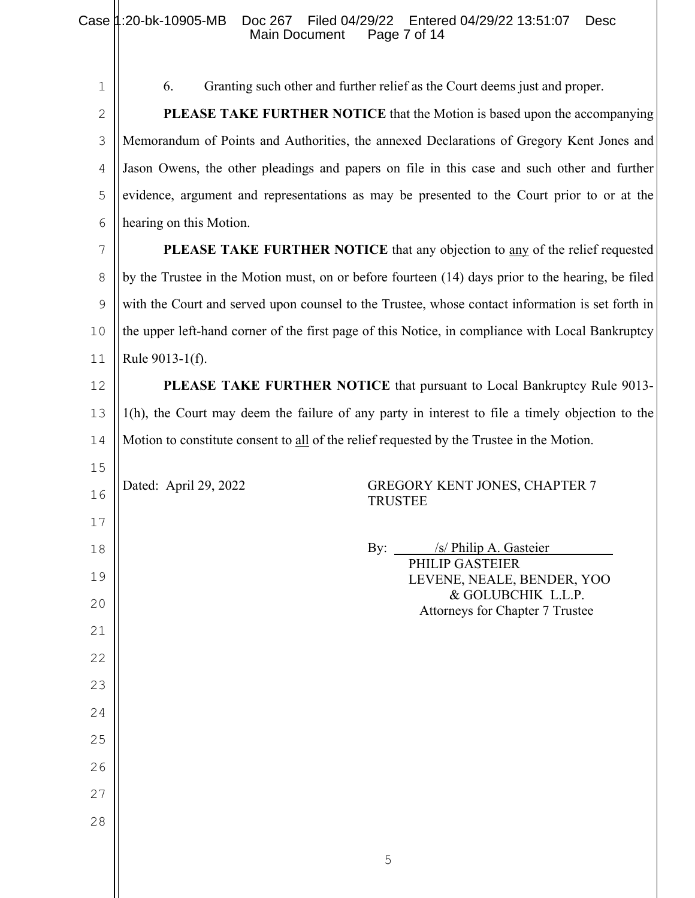1 2 3 4 5 6 7 8 9 10 11 12 13 14 15 16 17 18 19 20 21 22 23 24 25 26 27 28 5 6. Granting such other and further relief as the Court deems just and proper. **PLEASE TAKE FURTHER NOTICE** that the Motion is based upon the accompanying Memorandum of Points and Authorities, the annexed Declarations of Gregory Kent Jones and Jason Owens, the other pleadings and papers on file in this case and such other and further evidence, argument and representations as may be presented to the Court prior to or at the hearing on this Motion. **PLEASE TAKE FURTHER NOTICE** that any objection to any of the relief requested by the Trustee in the Motion must, on or before fourteen (14) days prior to the hearing, be filed with the Court and served upon counsel to the Trustee, whose contact information is set forth in the upper left-hand corner of the first page of this Notice, in compliance with Local Bankruptcy Rule 9013-1(f). PLEASE TAKE FURTHER NOTICE that pursuant to Local Bankruptcy Rule 9013-1(h), the Court may deem the failure of any party in interest to file a timely objection to the Motion to constitute consent to all of the relief requested by the Trustee in the Motion. Dated: April 29, 2022 GREGORY KENT JONES, CHAPTER 7 TRUSTEE By: /s/ Philip A. Gasteier PHILIP GASTEIER LEVENE, NEALE, BENDER, YOO & GOLUBCHIK L.L.P. Attorneys for Chapter 7 Trustee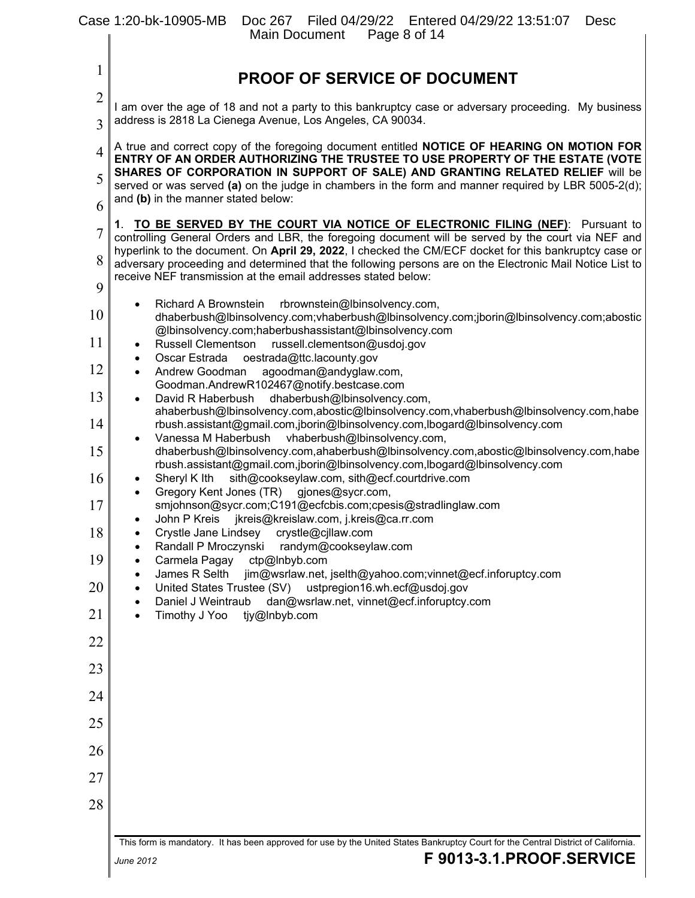|                | Case 1:20-bk-10905-MB<br>Doc 267 Filed 04/29/22 Entered 04/29/22 13:51:07<br><b>Desc</b><br>Page 8 of 14<br>Main Document                                                                                                                                                          |  |  |  |  |  |  |
|----------------|------------------------------------------------------------------------------------------------------------------------------------------------------------------------------------------------------------------------------------------------------------------------------------|--|--|--|--|--|--|
| $\mathbf{1}$   |                                                                                                                                                                                                                                                                                    |  |  |  |  |  |  |
| $\overline{2}$ | <b>PROOF OF SERVICE OF DOCUMENT</b>                                                                                                                                                                                                                                                |  |  |  |  |  |  |
| 3              | I am over the age of 18 and not a party to this bankruptcy case or adversary proceeding. My business<br>address is 2818 La Cienega Avenue, Los Angeles, CA 90034.                                                                                                                  |  |  |  |  |  |  |
| $\overline{4}$ | A true and correct copy of the foregoing document entitled NOTICE OF HEARING ON MOTION FOR<br>ENTRY OF AN ORDER AUTHORIZING THE TRUSTEE TO USE PROPERTY OF THE ESTATE (VOTE                                                                                                        |  |  |  |  |  |  |
| 5              | SHARES OF CORPORATION IN SUPPORT OF SALE) AND GRANTING RELATED RELIEF will be<br>served or was served (a) on the judge in chambers in the form and manner required by LBR 5005-2(d);                                                                                               |  |  |  |  |  |  |
| 6              | and (b) in the manner stated below:                                                                                                                                                                                                                                                |  |  |  |  |  |  |
| $\overline{7}$ | TO BE SERVED BY THE COURT VIA NOTICE OF ELECTRONIC FILING (NEF): Pursuant to<br>1.<br>controlling General Orders and LBR, the foregoing document will be served by the court via NEF and                                                                                           |  |  |  |  |  |  |
| 8              | hyperlink to the document. On April 29, 2022, I checked the CM/ECF docket for this bankruptcy case or<br>adversary proceeding and determined that the following persons are on the Electronic Mail Notice List to<br>receive NEF transmission at the email addresses stated below: |  |  |  |  |  |  |
| 9              |                                                                                                                                                                                                                                                                                    |  |  |  |  |  |  |
| 10             | Richard A Brownstein rbrownstein@lbinsolvency.com,<br>$\bullet$<br>dhaberbush@lbinsolvency.com;vhaberbush@lbinsolvency.com;jborin@lbinsolvency.com;abostic<br>@lbinsolvency.com;haberbushassistant@lbinsolvency.com                                                                |  |  |  |  |  |  |
| 11             | russell.clementson@usdoj.gov<br><b>Russell Clementson</b><br>$\bullet$                                                                                                                                                                                                             |  |  |  |  |  |  |
| 12             | oestrada@ttc.lacounty.gov<br>Oscar Estrada<br>$\bullet$<br>agoodman@andyglaw.com,<br>Andrew Goodman<br>$\bullet$                                                                                                                                                                   |  |  |  |  |  |  |
| 13             | Goodman.AndrewR102467@notify.bestcase.com<br>David R Haberbush<br>dhaberbush@lbinsolvency.com,<br>$\bullet$                                                                                                                                                                        |  |  |  |  |  |  |
| 14             | ahaberbush@lbinsolvency.com,abostic@lbinsolvency.com,vhaberbush@lbinsolvency.com,habe<br>rbush.assistant@gmail.com,jborin@lbinsolvency.com,lbogard@lbinsolvency.com                                                                                                                |  |  |  |  |  |  |
| 15             | Vanessa M Haberbush<br>vhaberbush@lbinsolvency.com,<br>$\bullet$<br>dhaberbush@lbinsolvency.com,ahaberbush@lbinsolvency.com,abostic@lbinsolvency.com,habe                                                                                                                          |  |  |  |  |  |  |
| 16             | rbush.assistant@gmail.com,jborin@lbinsolvency.com,lbogard@lbinsolvency.com<br>sith@cookseylaw.com, sith@ecf.courtdrive.com<br>Sheryl K Ith<br>٠                                                                                                                                    |  |  |  |  |  |  |
| 17             | Gregory Kent Jones (TR) gjones@sycr.com,<br>smjohnson@sycr.com;C191@ecfcbis.com;cpesis@stradlinglaw.com                                                                                                                                                                            |  |  |  |  |  |  |
| 18             | John P Kreis jkreis@kreislaw.com, j.kreis@ca.rr.com<br>Crystle Jane Lindsey crystle@cjllaw.com                                                                                                                                                                                     |  |  |  |  |  |  |
| 19             | Randall P Mroczynski<br>randym@cookseylaw.com<br>ctp@lnbyb.com<br>Carmela Pagay                                                                                                                                                                                                    |  |  |  |  |  |  |
| 20             | James R Selth<br>jim@wsrlaw.net, jselth@yahoo.com;vinnet@ecf.inforuptcy.com<br>United States Trustee (SV)<br>ustpregion16.wh.ecf@usdoj.gov                                                                                                                                         |  |  |  |  |  |  |
| 21             | dan@wsrlaw.net, vinnet@ecf.inforuptcy.com<br>Daniel J Weintraub<br>Timothy J Yoo<br>tiy@Inbyb.com                                                                                                                                                                                  |  |  |  |  |  |  |
| 22             |                                                                                                                                                                                                                                                                                    |  |  |  |  |  |  |
| 23             |                                                                                                                                                                                                                                                                                    |  |  |  |  |  |  |
| 24             |                                                                                                                                                                                                                                                                                    |  |  |  |  |  |  |
| 25             |                                                                                                                                                                                                                                                                                    |  |  |  |  |  |  |
| 26             |                                                                                                                                                                                                                                                                                    |  |  |  |  |  |  |
| 27             |                                                                                                                                                                                                                                                                                    |  |  |  |  |  |  |
| 28             |                                                                                                                                                                                                                                                                                    |  |  |  |  |  |  |
|                |                                                                                                                                                                                                                                                                                    |  |  |  |  |  |  |
|                | This form is mandatory. It has been approved for use by the United States Bankruptcy Court for the Central District of California.<br>F 9013-3.1.PROOF.SERVICE<br>June 2012                                                                                                        |  |  |  |  |  |  |

 $\overline{\phantom{a}}$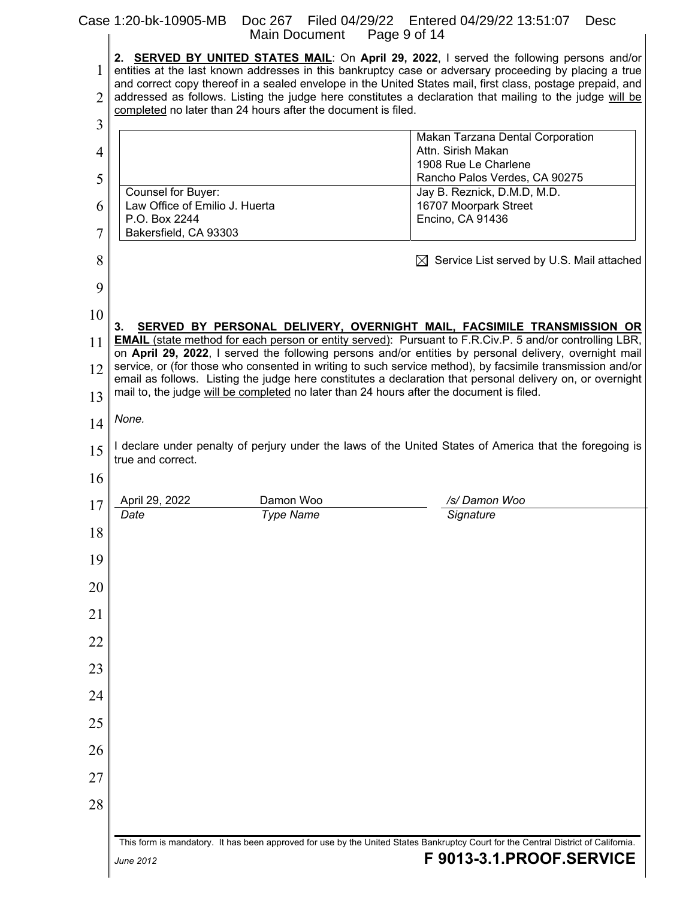### Case 1:20-bk-10905-MB Doc 267 Filed 04/29/22 Entered 04/29/22 13:51:07 Desc Main Document Page 9 of 14

|                          |                                                      | Main Document                                                 | Page 9 of 14                                                                                                                                                                                                                                                                                                                                                                                                                  |
|--------------------------|------------------------------------------------------|---------------------------------------------------------------|-------------------------------------------------------------------------------------------------------------------------------------------------------------------------------------------------------------------------------------------------------------------------------------------------------------------------------------------------------------------------------------------------------------------------------|
| 1<br>$\overline{2}$<br>3 |                                                      | completed no later than 24 hours after the document is filed. | 2. SERVED BY UNITED STATES MAIL: On April 29, 2022, I served the following persons and/or<br>entities at the last known addresses in this bankruptcy case or adversary proceeding by placing a true<br>and correct copy thereof in a sealed envelope in the United States mail, first class, postage prepaid, and<br>addressed as follows. Listing the judge here constitutes a declaration that mailing to the judge will be |
| 4                        |                                                      |                                                               | Makan Tarzana Dental Corporation<br>Attn. Sirish Makan<br>1908 Rue Le Charlene                                                                                                                                                                                                                                                                                                                                                |
| 5                        |                                                      |                                                               | Rancho Palos Verdes, CA 90275                                                                                                                                                                                                                                                                                                                                                                                                 |
| 6                        | Counsel for Buyer:<br>Law Office of Emilio J. Huerta |                                                               | Jay B. Reznick, D.M.D, M.D.<br>16707 Moorpark Street                                                                                                                                                                                                                                                                                                                                                                          |
|                          | P.O. Box 2244                                        |                                                               | Encino, CA 91436                                                                                                                                                                                                                                                                                                                                                                                                              |
| 7                        | Bakersfield, CA 93303                                |                                                               |                                                                                                                                                                                                                                                                                                                                                                                                                               |
| 8                        |                                                      |                                                               | $\boxtimes$ Service List served by U.S. Mail attached                                                                                                                                                                                                                                                                                                                                                                         |
| 9                        |                                                      |                                                               |                                                                                                                                                                                                                                                                                                                                                                                                                               |
| 10                       | 3.                                                   |                                                               | SERVED BY PERSONAL DELIVERY, OVERNIGHT MAIL, FACSIMILE TRANSMISSION OR                                                                                                                                                                                                                                                                                                                                                        |
| 11                       |                                                      |                                                               | <b>EMAIL</b> (state method for each person or entity served): Pursuant to F.R.Civ.P. 5 and/or controlling LBR,<br>on April 29, 2022, I served the following persons and/or entities by personal delivery, overnight mail                                                                                                                                                                                                      |
| 12                       |                                                      |                                                               | service, or (for those who consented in writing to such service method), by facsimile transmission and/or<br>email as follows. Listing the judge here constitutes a declaration that personal delivery on, or overnight                                                                                                                                                                                                       |
| 13                       |                                                      |                                                               | mail to, the judge will be completed no later than 24 hours after the document is filed.                                                                                                                                                                                                                                                                                                                                      |
| 14                       | None.                                                |                                                               |                                                                                                                                                                                                                                                                                                                                                                                                                               |
| 15                       |                                                      |                                                               | I declare under penalty of perjury under the laws of the United States of America that the foregoing is                                                                                                                                                                                                                                                                                                                       |
|                          | true and correct.                                    |                                                               |                                                                                                                                                                                                                                                                                                                                                                                                                               |
| 16                       |                                                      |                                                               |                                                                                                                                                                                                                                                                                                                                                                                                                               |
| 17                       | April 29, 2022                                       | Damon Woo                                                     | /s/ Damon Woo                                                                                                                                                                                                                                                                                                                                                                                                                 |
| 18                       | Date                                                 | <b>Type Name</b>                                              | Signature                                                                                                                                                                                                                                                                                                                                                                                                                     |
| 19                       |                                                      |                                                               |                                                                                                                                                                                                                                                                                                                                                                                                                               |
| 20                       |                                                      |                                                               |                                                                                                                                                                                                                                                                                                                                                                                                                               |
| 21                       |                                                      |                                                               |                                                                                                                                                                                                                                                                                                                                                                                                                               |
| 22                       |                                                      |                                                               |                                                                                                                                                                                                                                                                                                                                                                                                                               |
| 23                       |                                                      |                                                               |                                                                                                                                                                                                                                                                                                                                                                                                                               |
| 24                       |                                                      |                                                               |                                                                                                                                                                                                                                                                                                                                                                                                                               |
| 25                       |                                                      |                                                               |                                                                                                                                                                                                                                                                                                                                                                                                                               |
| 26                       |                                                      |                                                               |                                                                                                                                                                                                                                                                                                                                                                                                                               |
| 27                       |                                                      |                                                               |                                                                                                                                                                                                                                                                                                                                                                                                                               |
| 28                       |                                                      |                                                               |                                                                                                                                                                                                                                                                                                                                                                                                                               |
|                          |                                                      |                                                               | This form is mandatory. It has been approved for use by the United States Bankruptcy Court for the Central District of California.                                                                                                                                                                                                                                                                                            |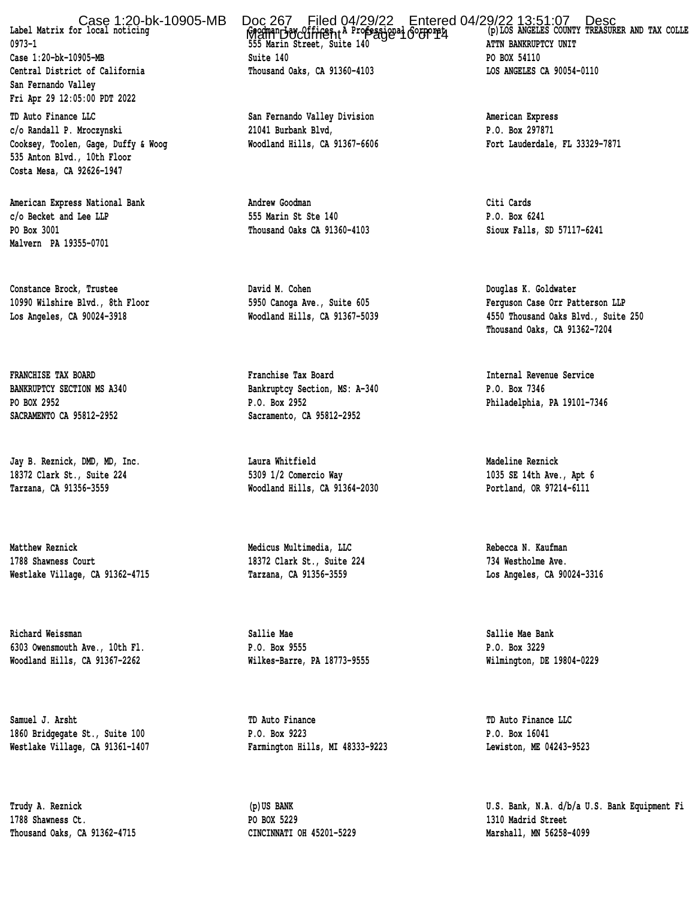**San Fernando Valley Fri Apr 29 12:05:00 PDT 2022** 

 **c/o Randall P. Mroczynski 21041 Burbank Blvd, P.O. Box 297871**  Cooksey, Toolen, Gage, Duffy & Woog **Moodland Hills, CA 91367-6606** Fort Lauderdale, FL 33329-7871  **535 Anton Blvd., 10th Floor Costa Mesa, CA 92626-1947** 

American Express National Bank **Andrew Goodman** Andrew Goodman Citi Cards  **c/o Becket and Lee LLP 555 Marin St Ste 140 P.O. Box 6241 PO Box 3001 Thousand Oaks CA 91360-4103 Sioux Falls, SD 57117-6241 Malvern PA 19355-0701** 

 **Constance Brock, Trustee David M. Cohen Douglas K. Goldwater** 

 **FRANCHISE TAX BOARD Franchise Tax Board Internal Revenue Service** 

 **Jay B. Reznick, DMD, MD, Inc. Laura Whitfield Madeline Reznick** 

Matthew Reznick **Medicus Multimedia, LLC** Rebecca N. Kaufman **Medicus Multimedia, LLC 1788 Shawness Court 18372 Clark St., Suite 224 734 Westholme Ave. Westlake Village, CA 91362-4715 Tarzana, CA 91356-3559 Los Angeles, CA 90024-3316** 

 **Richard Weissman Sallie Mae Sallie Mae Bank 6303 Owensmouth Ave., 10th Fl. P.O. Box 9555 P.O. Box 3229 Woodland Hills, CA 91367-2262 Wilkes-Barre, PA 18773-9555 Wilmington, DE 19804-0229** 

1788 Shawness Ct. **1788 Shawness Ct. 1788 Shawness Ct.** 2014 **1310 Madrid Street 1310 Madrid Street Thousand Oaks, CA 91362-4715 CINCINNATI OH 45201-5229 Marshall, MN 56258-4099** 

Label Matrix for local noticing **Street Attacks (1999)** (1999) (1999) (1999) Label Matrix for local noticing and the Main Document Page 140 atthe 140 atthe ATTN BANKRUPTCY UNIT  **Case 1:20-bk-10905-MB Suite 140 PO BOX 54110 Central District of California Thousand Oaks, CA 91360-4103 LOS ANGELES CA 90054-0110** 

 **TD Auto Finance LLC San Fernando Valley Division American Express** 

 **BANKRUPTCY SECTION MS A340 Bankruptcy Section, MS: A-340 P.O. Box 7346 PO BOX 2952 P.O. Box 2952 Philadelphia, PA 19101-7346 SACRAMENTO CA 95812-2952 Sacramento, CA 95812-2952** 

 **18372 Clark St., Suite 224 5309 1/2 Comercio Way 1035 SE 14th Ave., Apt 6 Tarzana, CA 91356-3559 Woodland Hills, CA 91364-2030 Portland, OR 97214-6111** 

 **Samuel J. Arsht TD Auto Finance TD Auto Finance LLC 1860 Bridgegate St., Suite 100 P.O. Box 9223 P.O. Box 16041**  Westlake Village, CA 91361-1407 **Farmington Hills, MI 48333-9223** Lewiston, ME 04243-9523

Case 1:20-bk-10905-MB Doc 267 Filed 04/29/22 Entered 04/29/22 13:51:07 Desc<br>Entered 04/29/22 13:51:07 Description of the Colle

10990 Wilshire Blvd., 8th Floor **5950 Canoga Ave., Suite 605** Ferguson Case Orr Patterson LLP  **Los Angeles, CA 90024-3918 Woodland Hills, CA 91367-5039 4550 Thousand Oaks Blvd., Suite 250 Thousand Oaks, CA 91362-7204** 

 **Trudy A. Reznick (p)US BANK U.S. Bank, N.A. d/b/a U.S. Bank Equipment Fi**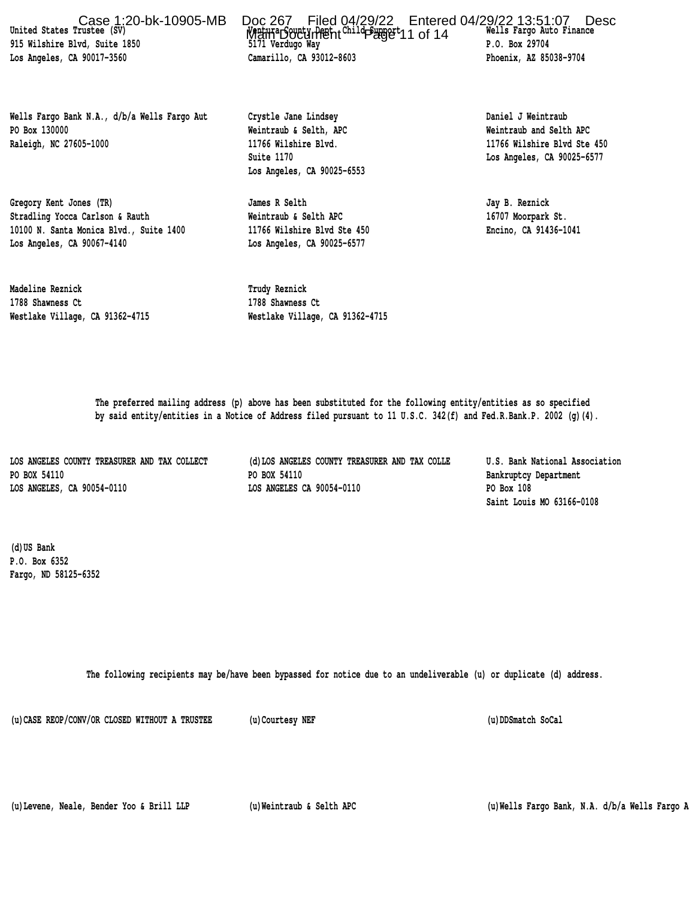Wells Fargo Bank N.A., d/b/a Wells Fargo Aut **Crystle Jane Lindsey Daniel J Weintraub Daniel J Weintraub PO Box 130000 Weintraub & Selth, APC Weintraub and Selth APC Raleigh, NC 27605-1000 11766 Wilshire Blvd. 11766 Wilshire Blvd Ste 450** 

 **Gregory Kent Jones (TR) James R Selth Jay B. Reznick**  Stradling Yocca Carlson & Rauth **Weintraub & Selth APC** 16707 Moorpark St.  **10100 N. Santa Monica Blvd., Suite 1400 11766 Wilshire Blvd Ste 450 Encino, CA 91436-1041 Los Angeles, CA 90067-4140 Los Angeles, CA 90025-6577** 

 **Madeline Reznick Trudy Reznick 1788 Shawness Ct 1788 Shawness Ct Westlake Village, CA 91362-4715 Westlake Village, CA 91362-4715** 

Case 1:20-bk-10905-MB Doc 267 Filed 04/29/22 Entered 04/29/22 13:51:07 Duited States Trustee (SV)  **915 Wilshire Blvd, Suite 1850 5171 Verdugo Way P.O. Box 29704 Los Angeles, CA 90017-3560 Camarillo, CA 93012-8603 Phoenix, AZ 85038-9704**  Doc 267 Filed 04/29/22 Entered 04/29/22 13:51:07 Desc Mattra Bovety Pretht Child Page 11 of 14

 **Los Angeles, CA 90025-6553** 

 **Suite 1170 Los Angeles, CA 90025-6577** 

 **The preferred mailing address (p) above has been substituted for the following entity/entities as so specified by said entity/entities in a Notice of Address filed pursuant to 11 U.S.C. 342(f) and Fed.R.Bank.P. 2002 (g)(4).** 

 **LOS ANGELES COUNTY TREASURER AND TAX COLLECT (d)LOS ANGELES COUNTY TREASURER AND TAX COLLE U.S. Bank National Association**  PO BOX 54110 **Bankruptcy Department PO BOX 54110 Bankruptcy Department LOS ANGELES, CA 90054-0110 LOS ANGELES CA 90054-0110 PO Box 108** 

 **Saint Louis MO 63166-0108** 

 **(d)US Bank P.O. Box 6352 Fargo, ND 58125-6352** 

 **The following recipients may be/have been bypassed for notice due to an undeliverable (u) or duplicate (d) address.** 

(u) CASE REOP/CONV/OR CLOSED WITHOUT A TRUSTEE (u) Courtesy NEF **1988** (u) DDSmatch SoCal

 **(u)Levene, Neale, Bender Yoo & Brill LLP (u)Weintraub & Selth APC (u)Wells Fargo Bank, N.A. d/b/a Wells Fargo A**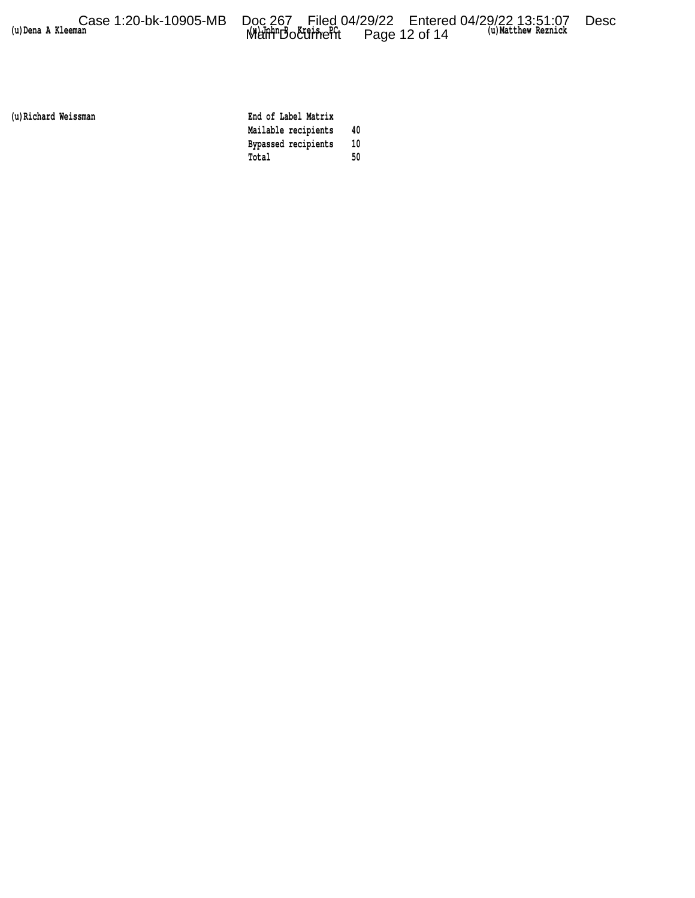| Case 1:20-bk-10905-MB |                     |  |               | Doc 267 Filed 04/29/22 Entered 04/29/22 13:51:07 | <b>Desc</b> |
|-----------------------|---------------------|--|---------------|--------------------------------------------------|-------------|
| (u) Dena A Kleeman    | <b>MammBocument</b> |  | Page 12 of 14 | (u) Matthew Reznick                              |             |

 **(u)Richard Weissman End of Label Matrix** 

 **Mailable recipients 40 Bypassed recipients 10**   $_{\rm Total}$  50  $_{\rm 50}$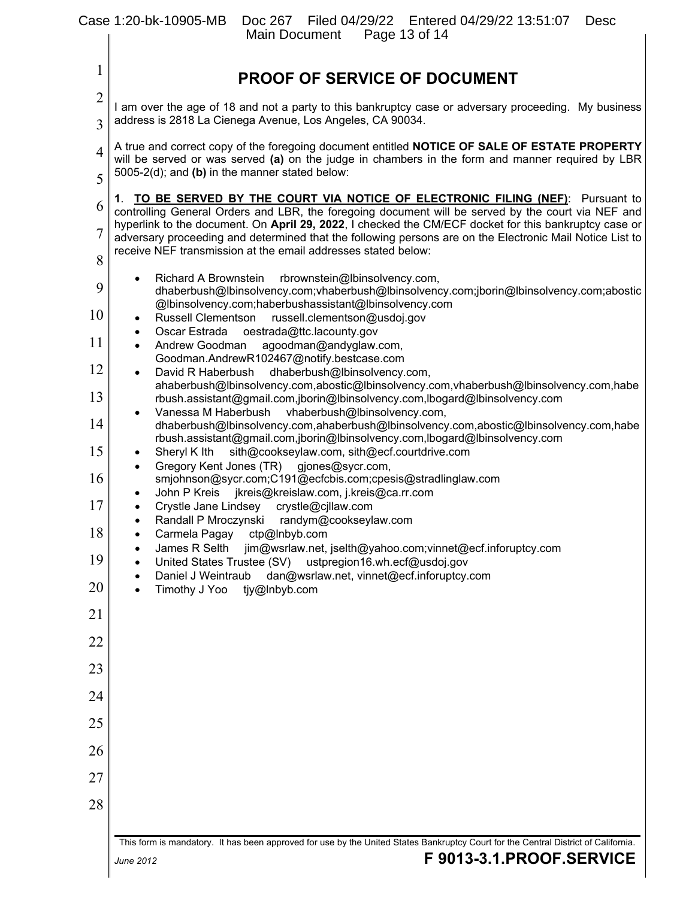|                | Case 1:20-bk-10905-MB<br>Doc 267 Filed 04/29/22 Entered 04/29/22 13:51:07<br><b>Desc</b><br>Main Document<br>Page 13 of 14                                                                                                                                                                     |  |  |  |  |
|----------------|------------------------------------------------------------------------------------------------------------------------------------------------------------------------------------------------------------------------------------------------------------------------------------------------|--|--|--|--|
| $\mathbf{1}$   | <b>PROOF OF SERVICE OF DOCUMENT</b>                                                                                                                                                                                                                                                            |  |  |  |  |
| $\overline{2}$ |                                                                                                                                                                                                                                                                                                |  |  |  |  |
| 3              | I am over the age of 18 and not a party to this bankruptcy case or adversary proceeding. My business<br>address is 2818 La Cienega Avenue, Los Angeles, CA 90034.                                                                                                                              |  |  |  |  |
| $\overline{4}$ | A true and correct copy of the foregoing document entitled NOTICE OF SALE OF ESTATE PROPERTY<br>will be served or was served (a) on the judge in chambers in the form and manner required by LBR                                                                                               |  |  |  |  |
| 5              | 5005-2(d); and (b) in the manner stated below:                                                                                                                                                                                                                                                 |  |  |  |  |
| 6              | 1. TO BE SERVED BY THE COURT VIA NOTICE OF ELECTRONIC FILING (NEF): Pursuant to<br>controlling General Orders and LBR, the foregoing document will be served by the court via NEF and<br>hyperlink to the document. On April 29, 2022, I checked the CM/ECF docket for this bankruptcy case or |  |  |  |  |
| 7<br>8         | adversary proceeding and determined that the following persons are on the Electronic Mail Notice List to<br>receive NEF transmission at the email addresses stated below:                                                                                                                      |  |  |  |  |
|                | Richard A Brownstein rbrownstein@lbinsolvency.com,                                                                                                                                                                                                                                             |  |  |  |  |
| 9<br>10        | dhaberbush@lbinsolvency.com;vhaberbush@lbinsolvency.com;jborin@lbinsolvency.com;abostic<br>@lbinsolvency.com;haberbushassistant@lbinsolvency.com<br>Russell Clementson russell.clementson@usdoj.gov<br>٠                                                                                       |  |  |  |  |
| 11             | Oscar Estrada<br>oestrada@ttc.lacounty.gov<br>٠                                                                                                                                                                                                                                                |  |  |  |  |
|                | Andrew Goodman<br>agoodman@andyglaw.com,<br>$\bullet$<br>Goodman.AndrewR102467@notify.bestcase.com                                                                                                                                                                                             |  |  |  |  |
| 12             | dhaberbush@lbinsolvency.com,<br>David R Haberbush<br>$\bullet$<br>ahaberbush@lbinsolvency.com,abostic@lbinsolvency.com,vhaberbush@lbinsolvency.com,habe                                                                                                                                        |  |  |  |  |
| 13             | rbush.assistant@gmail.com,jborin@lbinsolvency.com,lbogard@lbinsolvency.com<br>Vanessa M Haberbush<br>vhaberbush@lbinsolvency.com,<br>$\bullet$                                                                                                                                                 |  |  |  |  |
| 14             | dhaberbush@lbinsolvency.com,ahaberbush@lbinsolvency.com,abostic@lbinsolvency.com,habe<br>rbush.assistant@gmail.com,jborin@lbinsolvency.com,lbogard@lbinsolvency.com                                                                                                                            |  |  |  |  |
| 15             | sith@cookseylaw.com, sith@ecf.courtdrive.com<br>Sheryl K Ith<br>$\bullet$<br>Gregory Kent Jones (TR) gjones@sycr.com,<br>$\bullet$                                                                                                                                                             |  |  |  |  |
| 16             | smjohnson@sycr.com;C191@ecfcbis.com;cpesis@stradlinglaw.com<br>John P Kreis jkreis@kreislaw.com, j.kreis@ca.rr.com<br>$\bullet$                                                                                                                                                                |  |  |  |  |
| 17             | Crystle Jane Lindsey crystle@cjllaw.com                                                                                                                                                                                                                                                        |  |  |  |  |
| 18             | Randall P Mroczynski randym@cookseylaw.com<br>Carmela Pagay ctp@lnbyb.com                                                                                                                                                                                                                      |  |  |  |  |
| 19             | James R Selth<br>jim@wsrlaw.net, jselth@yahoo.com;vinnet@ecf.inforuptcy.com<br>United States Trustee (SV)<br>ustpregion16.wh.ecf@usdoj.gov                                                                                                                                                     |  |  |  |  |
| 20             | Daniel J Weintraub<br>dan@wsrlaw.net, vinnet@ecf.inforuptcy.com<br>Timothy J Yoo<br>tiy@Inbyb.com                                                                                                                                                                                              |  |  |  |  |
| 21             |                                                                                                                                                                                                                                                                                                |  |  |  |  |
| 22             |                                                                                                                                                                                                                                                                                                |  |  |  |  |
| 23             |                                                                                                                                                                                                                                                                                                |  |  |  |  |
| 24             |                                                                                                                                                                                                                                                                                                |  |  |  |  |
| 25             |                                                                                                                                                                                                                                                                                                |  |  |  |  |
| 26             |                                                                                                                                                                                                                                                                                                |  |  |  |  |
| 27             |                                                                                                                                                                                                                                                                                                |  |  |  |  |
| 28             |                                                                                                                                                                                                                                                                                                |  |  |  |  |
|                |                                                                                                                                                                                                                                                                                                |  |  |  |  |
|                | This form is mandatory. It has been approved for use by the United States Bankruptcy Court for the Central District of California.<br>F 9013-3.1.PROOF.SERVICE<br>June 2012                                                                                                                    |  |  |  |  |

 $\overline{\phantom{a}}$